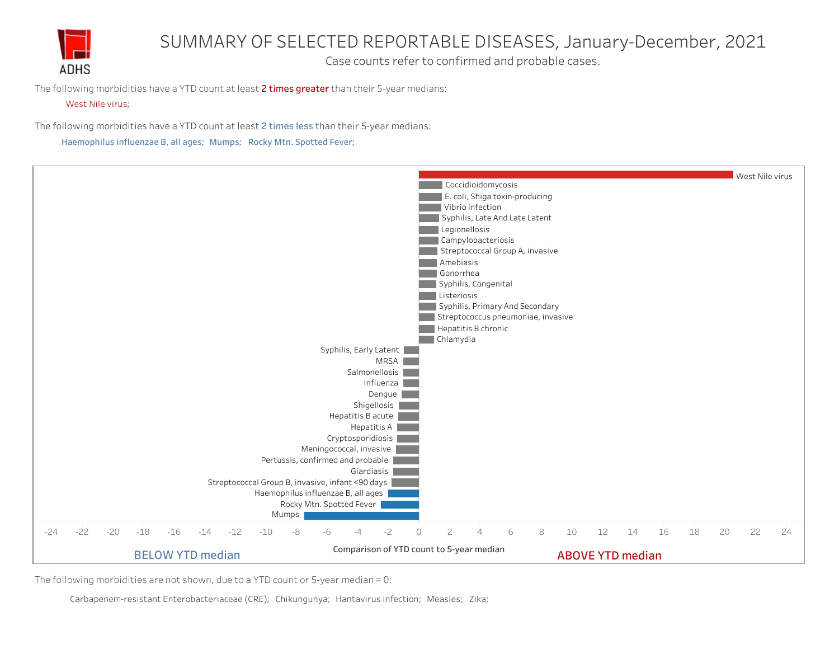

## SUMMARY OF SELECTED REPORTABLE DISEASES, January-December, 2021

Case counts refer to confirmed and probable cases.

The following morbidities have a YTD count at least  $2$  times greater than their 5-year medians:

## West Nile virus;

The following morbidities have a YTD count at least 2 times less than their 5-year medians:

Haemophilus influenzae B, all ages; Mumps; Rocky Mtn. Spotted Fever;



The following morbidities are not shown, due to a YTD count or 5-year median = 0:

Carbapenem-resistant Enterobacteriaceae (CRE); Chikungunya; Hantavirus infection; Measles; Zika;